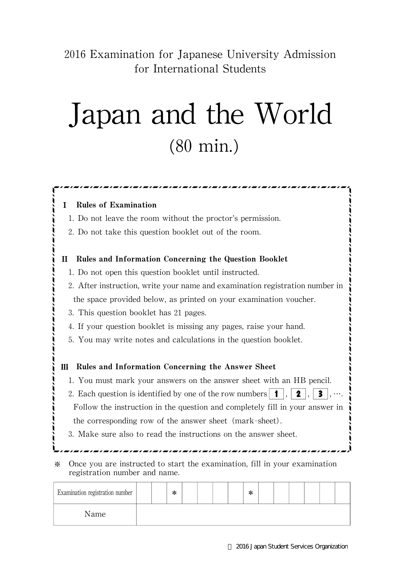2016 Examination for Japanese University Admission for International Students

## Japan and the World (80 min.)

## Rules of Examination 1.Do not leave the room without the proctor's permission. 2.Do not take this question booklet out of the room. Rules and Information Concerning the Question Booklet 1.Do not open this question booklet until instructed. 2. After instruction, write your name and examination registration number in the space provided below, as printed on your examination voucher. 3. This question booklet has 21 pages. 4. If your question booklet is missing any pages, raise your hand. 5.You may write notes and calculations in the question booklet. III Rules and Information Concerning the Answer Sheet 1.You must mark your answers on the answer sheet with an HB pencil. 2. Each question is identified by one of the row numbers  $\mathbf{1}$ ,  $\mathbf{2}$ ,  $\mathbf{3}$ , Follow the instruction in the question and completely fill in your answer in the corresponding row of the answer sheet (mark-sheet). 3.Make sure also to read the instructions on the answer sheet. 쟯 쟯 쟯 쟯 쟯 쟯 쟯 쟯  $\ddot{\cdot}$  $\frac{1}{2}$ 쟯 쟯 쟯 쟯 쟯 쟯 쟯  $\frac{1}{1}$ 쟯 쟯 쟯 쟯 쟯  $\frac{1}{2}$  $\frac{1}{2}$ 쟯 쟙쟙쟙쟙쟙쟙쟙쟙쟙쟙쟙쟙쟙쟙쟙 쟙쟙쟙쟙쟙쟙쟙쟙쟙쟙쟙쟙쟙쟙쟙 ※ Once you are instructed to start the examination,fill in your examination registration number and name.

| Examination registration number |  | ∗ |  |  | ∗ |  |  |  |
|---------------------------------|--|---|--|--|---|--|--|--|
| Name                            |  |   |  |  |   |  |  |  |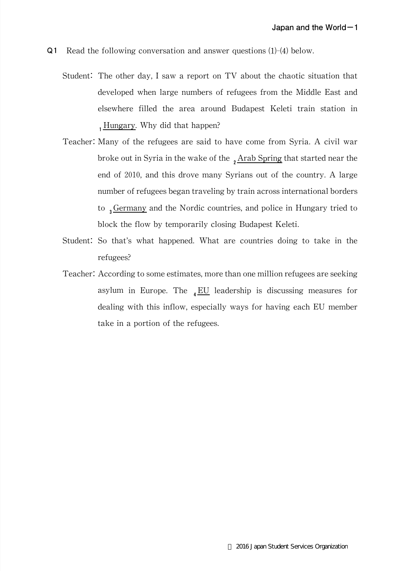- Q1 Read the following conversation and answer questions (1)-(4) below.
	- Student: The other day,I saw a report on TV about the chaotic situation that developed when large numbers of refugees from the Middle East and elsewhere filled the area around Budapest Keleti train station in <sup>1</sup>Hungary. Why did that happen?
	- Teacher: Many of the refugees are said to have come from Syria. A civil war broke out in Syria in the wake of the  $_2$  Arab Spring that started near the end of 2010, and this drove many Syrians out of the country. A large number of refugees began traveling by train across international borders to  $\frac{1}{3}$ Germany and the Nordic countries, and police in Hungary tried to block the flow by temporarily closing Budapest Keleti.
	- Student: So that's what happened.What are countries doing to take in the refugees?
	- Teacher: According to some estimates, more than one million refugees are seeking asylum in Europe. The  $_{4}$  EU leadership is discussing measures for dealing with this inflow, especially ways for having each EU member take in a portion of the refugees.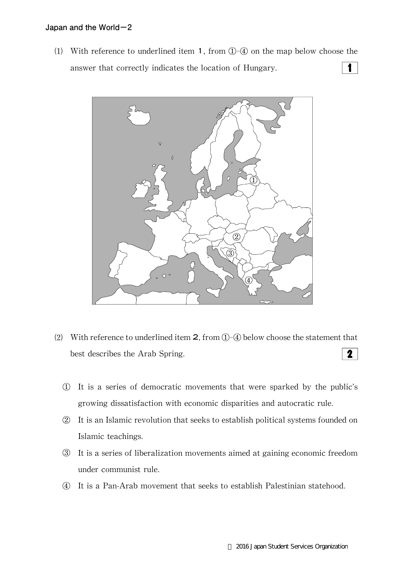(1) With reference to underlined item 1, from  $(1)$ - $(4)$  on the map below choose the  $\mathbf{1}$ answer that correctly indicates the location of Hungary.



- (2) With reference to underlined item  $2$ , from  $(1)$ - $(4)$  below choose the statement that  $2<sup>1</sup>$ best describes the Arab Spring.
	- ① It is a series of democratic movements that were sparked by the public's growing dissatisfaction with economic disparities and autocratic rule.
	- ② It is an Islamic revolution that seeks to establish political systems founded on Islamic teachings.
	- ③ It is a series of liberalization movements aimed at gaining economic freedom under communist rule.
	- ④ It is a Pan-Arab movement that seeks to establish Palestinian statehood.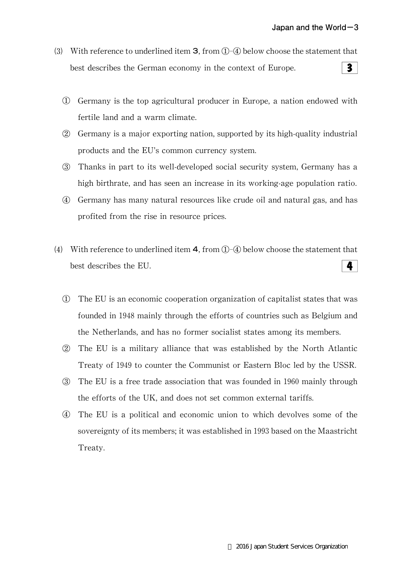- (3) With reference to underlined item **3**, from  $(1)$ - $(4)$  below choose the statement that best describes the German economy in the context of Europe.  $3<sup>1</sup>$ 
	- ① Germany is the top agricultural producer in Europe,a nation endowed with fertile land and a warm climate.
	- ② Germany is a major exporting nation,supported by its high-quality industrial products and the EU's common currency system.
	- ③ Thanks in part to its well-developed social security system,Germany has a high birthrate, and has seen an increase in its working-age population ratio.
	- ④ Germany has many natural resources like crude oil and natural gas,and has profited from the rise in resource prices.
- (4) With reference to underlined item  $4$ , from  $(1)$ - $(4)$  below choose the statement that best describes the EU.  $4<sup>1</sup>$ 
	- ① The EU is an economic cooperation organization of capitalist states that was founded in 1948 mainly through the efforts of countries such as Belgium and the Netherlands, and has no former socialist states among its members.
	- ② The EU is a military alliance that was established by the North Atlantic Treaty of 1949 to counter the Communist or Eastern Bloc led by the USSR.
	- ③ The EU is a free trade associationthat was founded in 1960 mainly through the efforts of the UK, and does not set common external tariffs.
	- ④ The EU is a political and economic union to which devolves some of the sovereignty of its members; it was established in 1993 based on the Maastricht Treaty.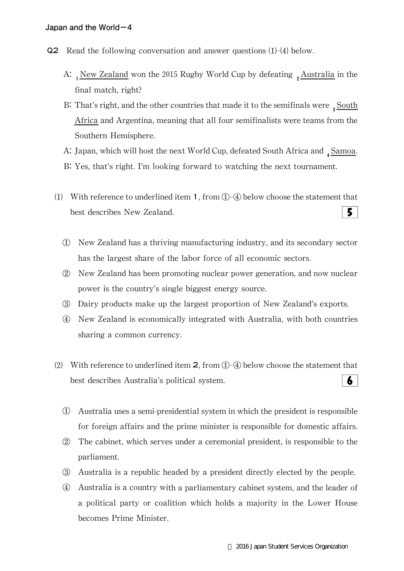- Q2 Read the following conversation and answer questions  $(1)-(4)$  below.
	- A: <sub>1</sub> <u>New Zealand</u> won the 2015 Rugby World Cup by defeating <sub>2</sub> <u>Australia</u> in the final match, right?
	- B: That's right, and the other countries that made it to the semifinals were  $\frac{3}{1}$ South Africa and Argentina, meaning that all four semifinalists were teams from the Southern Hemisphere.
	- A: Japan, which will host the next World Cup, defeated South Africa and  $_4$ Samoa.
	- B: Yes, that's right. I'm looking forward to watching the next tournament.
	- (1) With reference to underlined item 1, from  $(1)$ - $(4)$  below choose the statement that best describes New Zealand. 5.
		- ① New Zealand has a thriving manufacturing industry,and its secondary sector has the largest share of the labor force of all economic sectors.
		- ② New Zealand has been promoting nuclear power generation,and now nuclear power is the country's single biggest energy source.
		- ③ Dairy products make up the largest proportion of New Zealand's exports.
		- ④ New Zealand is economically integrated with Australia,with both countries sharing a common currency.
	- (2) With reference to underlined item  $2$ , from  $\oplus$ - $\oplus$  below choose the statement that best describes Australia's political system. 6
		- ① Australia uses a semi-presidential system in which the president is responsible for foreign affairs and the prime minister is responsible for domestic affairs.
		- $\odot$  The cabinet, which serves under a ceremonial president, is responsible to the parliament.
		- ③ Australia is a republic headed by a president directly elected by the people.
		- ④ Australia is a country with a parliamentary cabinet system,and the leader of a political party or coalition which holds a majority in the Lower House becomes Prime Minister.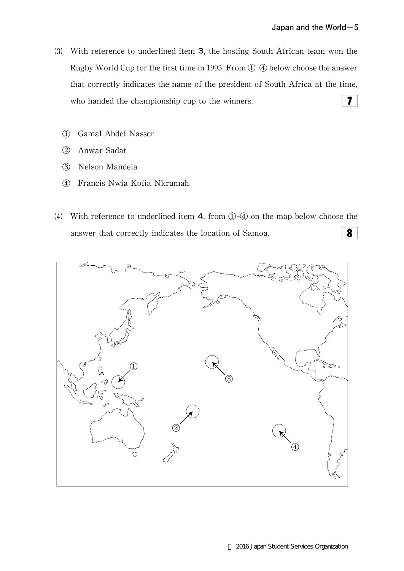- (3) With reference to underlined item 3, the hosting South African team won the Rugby World Cup for the first time in 1995. From  $\mathbb{O}$ - $\mathbb Q$  below choose the answer that correctly indicates the name of the president of South Africa at the time,  $\vert$  7  $\vert$ who handed the championship cup to the winners.
	- ① Gamal Abdel Nasser
	- ② Anwar Sadat
	- ③ Nelson Mandela
	- ④ Francis Nwia Kofia Nkrumah
- (4) With reference to underlined item  $4$ , from  $(1)$ - $(4)$  on the map below choose the 8 answer that correctly indicates the location of Samoa.

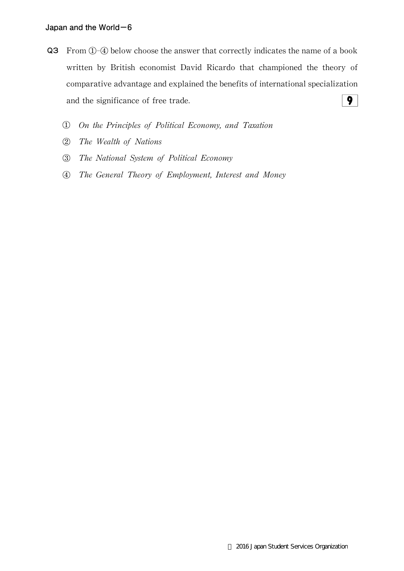- Q3 From ①-④ below choose the answer that correctly indicates the name of a book written by British economist David Ricardo that championed the theory of comparative advantage and explained the benefits of international specialization  $\overline{9}$ and the significance of free trade.
	- ① On the Principles of Political Economy, and Taxation
	- ② The Wealth of Nations
	- ③ The National System of Political Economy
	- ④ The General Theory of Employment, Interest and Money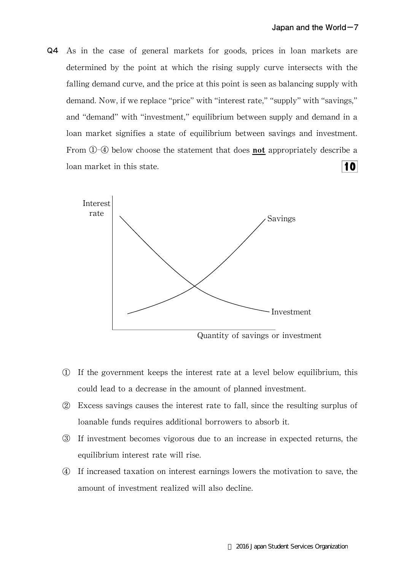Q4 As in the case of general markets for goods, prices in loan markets are determined by the point at which the rising supply curve intersects with the falling demand curve, and the price at this point is seen as balancing supply with demand. Now, if we replace "price" with "interest rate," "supply" with "savings," and"demand"with"investment,"equilibrium between supply and demand in a loan market signifies a state of equilibrium between savings and investment. From  $(1)$ - $(4)$  below choose the statement that does **not** appropriately describe a loan market in this state.  $|10|$ 



- ① If the government keeps the interest rate at a level below equilibrium,this could lead to a decrease in the amount of planned investment.
- ② Excess savings causes the interest rate to fall,since the resulting surplus of loanable funds requires additional borrowers to absorb it.
- ③ If investment becomes vigorous due to an increasein expected returns,the equilibrium interest rate will rise.
- ④ If increased taxation on interest earnings lowers the motivation to save,the amount of investment realized will also decline.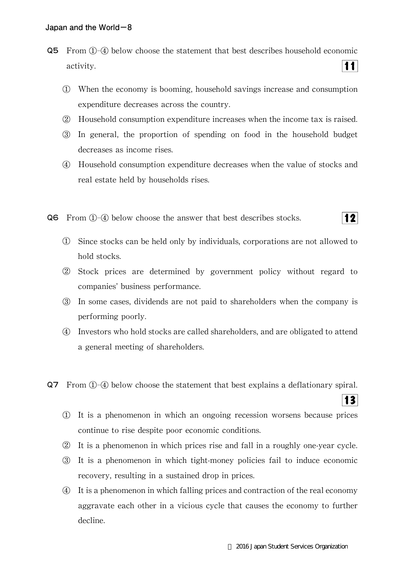- Q5 From ①-④ below choose the statement that best describes household economic  $11$ activity.
	- ① When the economy is booming,household savings increase and consumption expenditure decreases across the country.
	- ② Household consumption expenditure increases when the income tax is raised.
	- ③ In general,the proportion of spending on food in the household budget decreases as income rises.
	- ④ Household consumption expenditure decreases when the value of stocks and real estate held by households rises.
- Q6 From ①-④ below choose the answer that best describes stocks.
	- ① Since stocks can be held only by individuals,corporations are not allowed to hold stocks.
	- ② Stock prices are determined by government policy without regard to companies'business performance.
	- ③ In some cases,dividends are not paid to shareholders when the company is performing poorly.
	- ④ Investors who hold stocks are called shareholders,and are obligated to attend a general meeting of shareholders.
- Q7 From ①-④ below choose the statement that best explains a deflationary spiral.
	- ① It is a phenomenon in which an ongoing recession worsens because prices continue to rise despite poor economic conditions.
	- ② It is a phenomenon in which prices rise and fall in a roughly one-year cycle.
	- ③ It is a phenomenon in which tight-money policies fail to induce economic recovery, resulting in a sustained drop in prices.
	- ④ It is a phenomenon in which falling prices and contraction of the real economy aggravate each other in a vicious cycle that causes the economy to further decline.

 $|12|$ 

13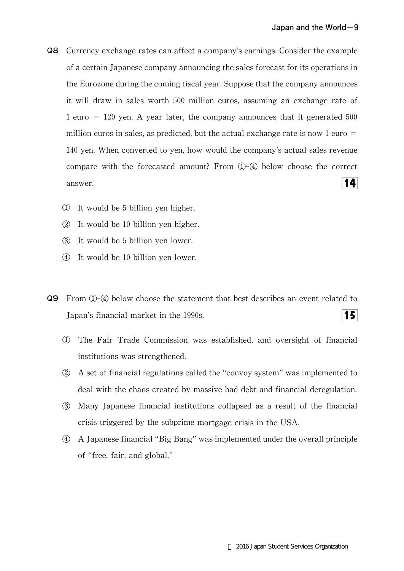- Q8 Currency exchange rates can affect a company's earnings.Consider the example of a certain Japanese company announcing the sales forecast for its operations in the Eurozone during the coming fiscal year.Suppose that the company announces it will draw in sales worth 500 million euros, assuming an exchange rate of 1 euro = 120 yen. A year later, the company announces that it generated  $500$ million euros in sales, as predicted, but the actual exchange rate is now 1 euro  $=$ 140 yen. When converted to yen, how would the company's actual sales revenue compare with the forecasted amount? From  $(1)$ - $(4)$  below choose the correct 14 answer.
	- ① It would be 5 billion yen higher.
	- ② It would be 10 billion yen higher.
	- ③ It would be 5 billion yen lower.
	- ④ It would be 10 billion yen lower.
- Q9 From ①-④ below choose the statement that best describes an event related to  $15<sup>1</sup>$ Japan's financial market in the 1990s.
	- ① The Fair Trade Commission was established,and oversight of financial institutions was strengthened.
	- ② A set of financial regulations called the"convoy system"was implemented to deal with the chaos created by massive bad debt and financial deregulation.
	- ③ Many Japanese financial institutions collapsed as a result of the financial crisis triggered by the subprime mortgage crisis in the USA.
	- ④ A Japanese financial"Big Bang"was implemented under the overall principle of "free, fair, and global."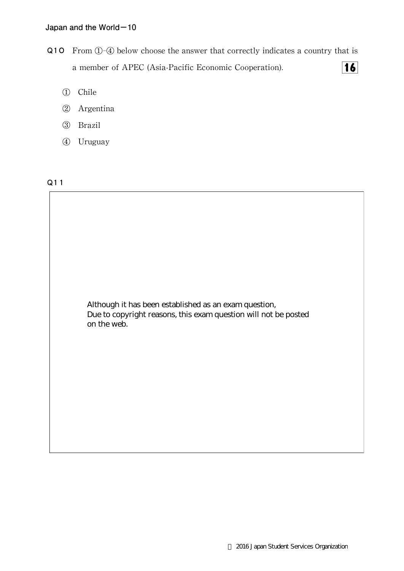- Q10 From ①-④ below choose the answer that correctly indicates a country that is  $\overline{16}$ a member of APEC (Asia-Pacific Economic Cooperation).
	- ① Chile
	- ② Argentina
	- ③ Brazil
	- ④ Uruguay

## $\mathsf{Q11}$  The following graph shows the real GDP graph shows the real GDP graph shows the real GDP graph shows the real GDP graph shows the real GDP graph shows that  $\mathsf{Q211}$

Although it has been established as an exam question, Due to copyright reasons, this exam question will not be posted on the web.

 $\mathcal{L}$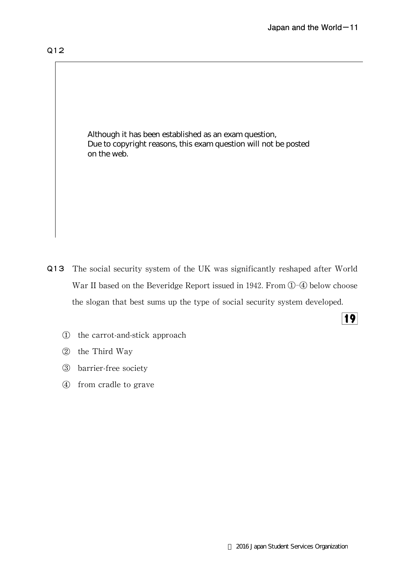$\overline{19}$ 



Although it has been established as an exam question, Due to copyright reasons, this exam question will not be posted on the web.

- Q13 The social security system of the UK was significantly reshaped after World War II based on the Beveridge Report issued in 1942. From  $\textcircled{\textsc{1}}$ -4 below choose the slogan that best sums up the type of social security system developed.
	- ① the carrot-and-stick approach
	- ② the Third Way
	- ③ barrier-free society
	- ④ from cradle to grave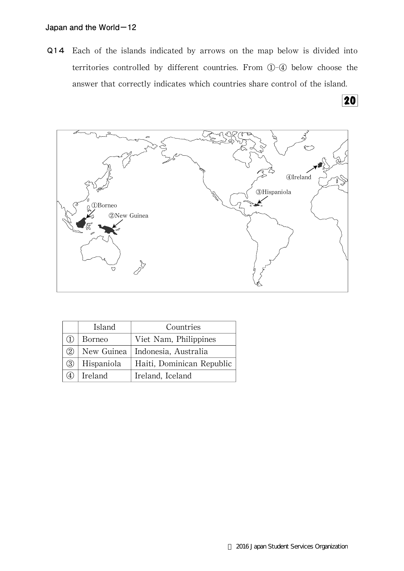Q14 Each of the islands indicated by arrows on the map below is divided into territories controlled by different countries.From ①-④ below choose the answer that correctly indicates which countries share control of the island.

yezh<br>Y ④Ireland ③Hispaniola ①Borneo ②New Guinea

|     | Island     | Countries                 |
|-----|------------|---------------------------|
|     | Borneo     | Viet Nam, Philippines     |
| (2) | New Guinea | Indonesia, Australia      |
| (3) | Hispaniola | Haiti, Dominican Republic |
|     | Ireland    | Ireland, Iceland          |

**20**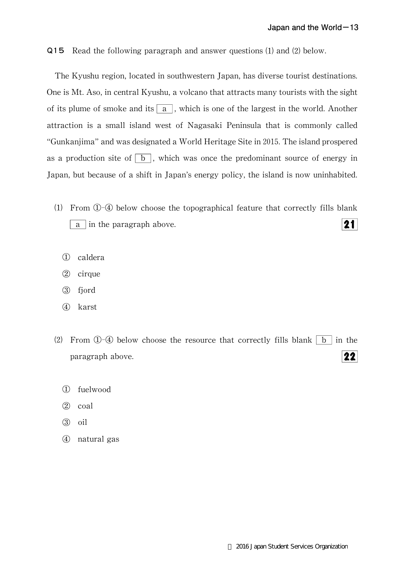## Q15 Read the following paragraph and answer questions (1) and (2) below.

The Kyushu region, located in southwestern Japan, has diverse tourist destinations. One is Mt. Aso, in central Kyushu, a volcano that attracts many tourists with the sight of its plume of smoke and its  $|a|$ , which is one of the largest in the world. Another attraction is a small island west of Nagasaki Peninsula that is commonly called "Gunkanjima"and was designated a World Heritage Site in 2015.The island prospered as a production site of  $\vert b \vert$ , which was once the predominant source of energy in Japan, but because of a shift in Japan's energy policy, the island is now uninhabited.

- ⑴ From ①-④ below choose the topographical feature that correctly fills blank  $21<sup>1</sup>$ a in the paragraph above.
	- ① caldera
	- ② cirque
	- ③ fjord
	- ④ karst
- (2) From  $(1)$ - $(4)$  below choose the resource that correctly fills blank b in the  $|22|$ paragraph above.
	- ① fuelwood
	- ② coal
	- ③ oil
	- ④ natural gas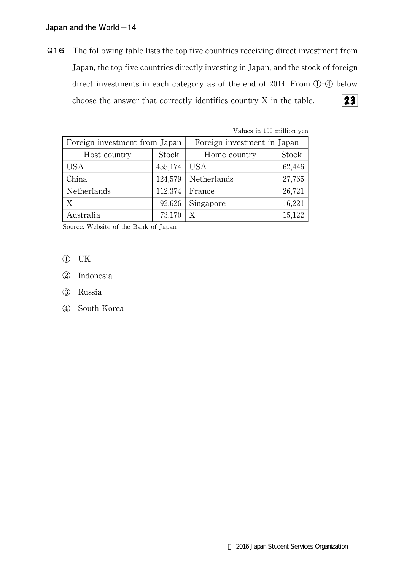Q16 The following table lists the top five countries receiving direct investment from Japan, the top five countries directly investing in Japan, and the stock of foreign direct investments in each category as of the end of 2014. From ①-④ below choose the answer that correctly identifies country X in the table.  $\overline{23}$ 

|                               |         | Values in 100 million yen   |        |  |  |  |
|-------------------------------|---------|-----------------------------|--------|--|--|--|
| Foreign investment from Japan |         | Foreign investment in Japan |        |  |  |  |
| Host country                  | Stock   | Home country                | Stock  |  |  |  |
| <b>USA</b>                    | 455,174 | <b>USA</b>                  | 62,446 |  |  |  |
| China                         | 124,579 | Netherlands                 | 27,765 |  |  |  |
| Netherlands                   | 112,374 | France                      | 26,721 |  |  |  |
| X                             | 92,626  | Singapore                   | 16,221 |  |  |  |
| Australia                     | 73,170  | Х                           | 15,122 |  |  |  |

Source: Website of the Bank of Japan

- ① UK
- ② Indonesia
- ③ Russia
- ④ South Korea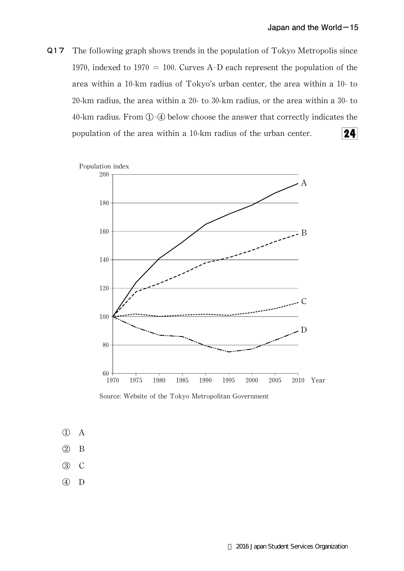Q17 The following graph shows trends in the population of Tokyo Metropolis since 1970, indexed to 1970 = 100. Curves A-D each represent the population of the area within a  $10$ -km radius of Tokyo's urban center, the area within a  $10$ -to 20-km radius, the area within a  $20-$  to  $30-$ km radius, or the area within a  $30-$  to  $40$ -km radius. From  $(1)$ - $(4)$  below choose the answer that correctly indicates the population of the area within a 10-km radius of the urban center.  $24$ 



Source: Website of the Tokyo Metropolitan Government

- ① A
- ② B
- ③ C
- ④ D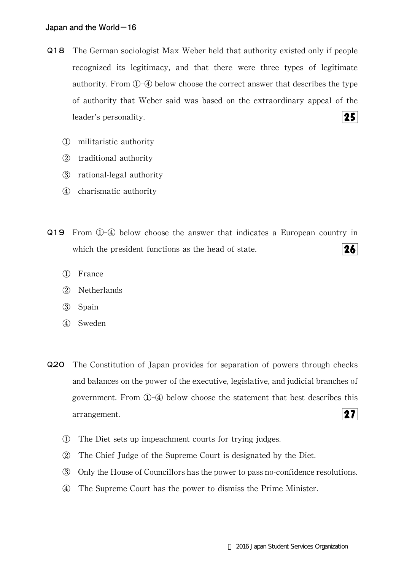- Q18 The German sociologist Max Weber held that authority existed only if people recognized its legitimacy, and that there were three types of legitimate authority. From  $(1)$ - $(4)$  below choose the correct answer that describes the type of authority that Weber said was based on the extraordinary appeal of the  $25<sub>1</sub>$ leader's personality.
	- ① militaristic authority
	- ② traditional authority
	- ③ rational-legal authority
	- ④ charismatic authority
- Q19 From ①-④ below choose the answer that indicates a European country in which the president functions as the head of state.  $26<sup>1</sup>$ 
	- ① France
	- ② Netherlands
	- ③ Spain
	- ④ Sweden
- Q20 The Constitution of Japan provides for separation of powers through checks and balances on the power of the executive, legislative, and judicial branches of government.From ①-④ below choose the statement that best describes this  $27<sub>l</sub>$ arrangement.
	- ① The Diet sets up impeachment courts for trying judges.
	- ② The Chief Judge of the Supreme Court is designated by the Diet.
	- ③ Only the House of Councillors has the power to pass no-confidence resolutions.
	- ④ The Supreme Court has the power to dismiss the Prime Minister.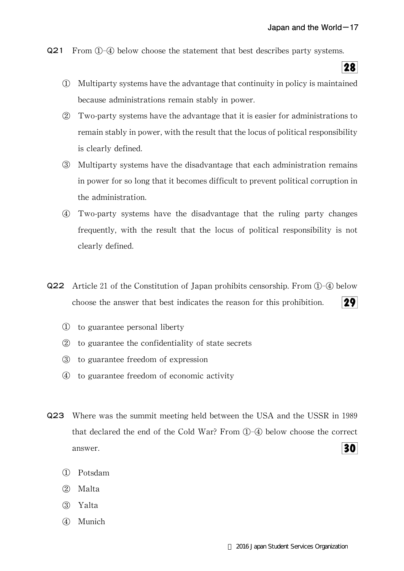28

Q21 From ①-④ below choose the statement that best describes party systems.

- ① Multiparty systems have the advantage that continuity in policy is maintained because administrations remain stably in power.
- ② Two-party systems have the advantage that it is easier for administrations to remain stably in power, with the result that the locus of political responsibility is clearly defined.
- ③ Multiparty systems have the disadvantage that each administration remains in power for so long that it becomes difficult to prevent political corruption in the administration.
- ④ Two-party systems have the disadvantage that the ruling party changes frequently, with the result that the locus of political responsibility is not clearly defined.
- Q22 Article 21 of the Constitution of Japan prohibits censorship. From  $\mathbb{O}$ -4 below  $29$ choose the answer that best indicates the reason for this prohibition.
	- ① to guarantee personal liberty
	- ② to guarantee the confidentiality of state secrets
	- ③ to guarantee freedom of expression
	- ④ to guarantee freedom of economic activity
- Q23 Where was the summit meeting held between the USA and the USSR in 1989 that declared the end of the Cold War? From  $(D-4)$  below choose the correct answer. 30
	- ① Potsdam
	- ② Malta
	- ③ Yalta
	- ④ Munich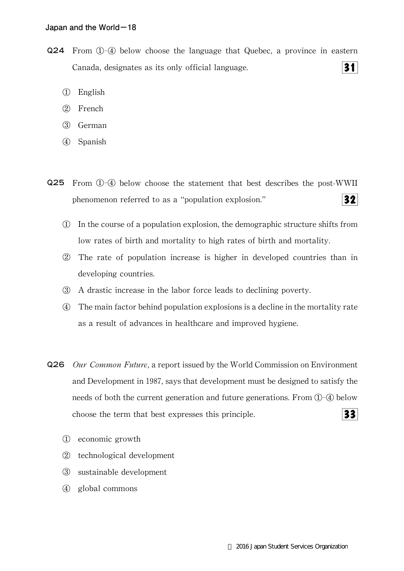- Q24 From  $\Phi$ -(4) below choose the language that Quebec, a province in eastern  $31$ Canada, designates as its only official language.
	- ① English
	- ② French
	- ③ German
	- ④ Spanish
- Q25 From ①-④ below choose the statement that best describes the post-WWII 32 phenomenon referred to as a"population explosion."
	- ① In the course of a population explosion,the demographic structure shifts from low rates of birth and mortality to high rates of birth and mortality.
	- ② The rate of population increase is higher in developed countries than in developing countries.
	- ③ A drastic increase in the labor force leads to declining poverty.
	- ④ The main factor behind population explosions is a decline in the mortality rate as a result of advances in healthcare and improved hygiene.
- **Q26** Our Common Future, a report issued by the World Commission on Environment and Development in 1987, says that development must be designed to satisfy the needs of both the current generation and future generations. From  $(1)$ - $(4)$  below choose the term that best expresses this principle.  $33$ 
	- ① economic growth
	- ② technological development
	- ③ sustainable development
	- ④ globalcommons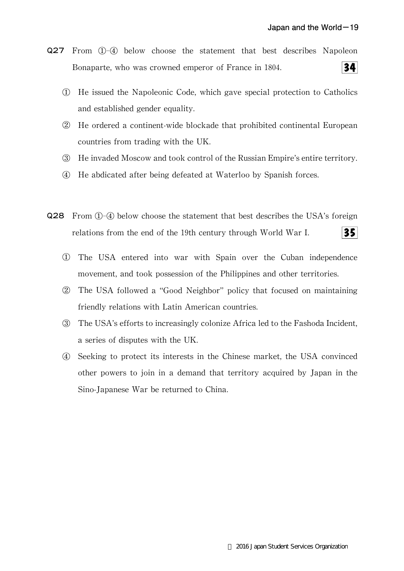- Q27 From ①-④ below choose the statement that best describes Napoleon  $34$ Bonaparte, who was crowned emperor of France in 1804.
	- ① He issued the Napoleonic Code,which gave special protection to Catholics and established gender equality.
	- ② He ordered a continent-wide blockade that prohibited continental European countries from trading with the UK.
	- ③ He invaded Moscow and took control of the Russian Empire's entire territory.
	- ④ He abdicated after being defeated at Waterloo by Spanish forces.
- Q28 From ①-④ below choose the statement that best describes the USA's foreign relations from the end of the 19th century through World War I. 35|
	- ① The USA entered into war with Spain over the Cuban independence movement, and took possession of the Philippines and other territories.
	- ② The USA followed a"Good Neighbor"policy that focused on maintaining friendly relations with Latin American countries.
	- ③ The USA's efforts to increasingly colonize Africa led to the Fashoda Incident, a series of disputes with the UK.
	- ④ Seeking to protect its interests in the Chinese market,the USA convinced other powers to join in a demand that territory acquired by Japan in the Sino-Japanese War be returned to China.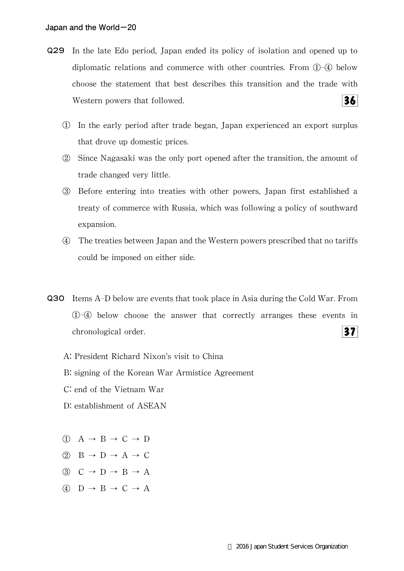- Q29 In the late Edo period, Japan ended its policy of isolation and opened up to diplomatic relations and commerce with other countries.From ①-④ below choose the statement that best describes this transition and the trade with  $36$ Western powers that followed.
	- ① In the early period after trade began,Japan experienced an export surplus that drove up domestic prices.
	- ② Since Nagasaki was the only port opened after the transition,the amount of trade changed very little.
	- ③ Before entering into treaties with other powers,Japan first established a treaty of commerce with Russia,which was following a policy of southward expansion.
	- ④ The treaties between Japan and the Western powers prescribed that no tariffs could be imposed on either side.
- Q30 Items A-D below are events that took place in Asia during the Cold War.From ①-④ below choose the answer that correctly arranges these events in  $37<sup>l</sup>$ chronological order.
	- A: President Richard Nixon's visit to China
	- B: signing of the Korean War Armistice Agreement
	- C: end of the Vietnam War
	- D: establishment of ASEAN
	- $\overline{A} \rightarrow B \rightarrow C \rightarrow D$
	- $\overline{a}$  B  $\rightarrow$  D  $\rightarrow$  A  $\rightarrow$  C
	- $\textcircled{3}$   $\textcircled{c} \rightarrow \textcircled{D} \rightarrow \textcircled{B} \rightarrow \textcircled{A}$
	- $\textcircled{4}$  D  $\rightarrow$  B  $\rightarrow$  C  $\rightarrow$  A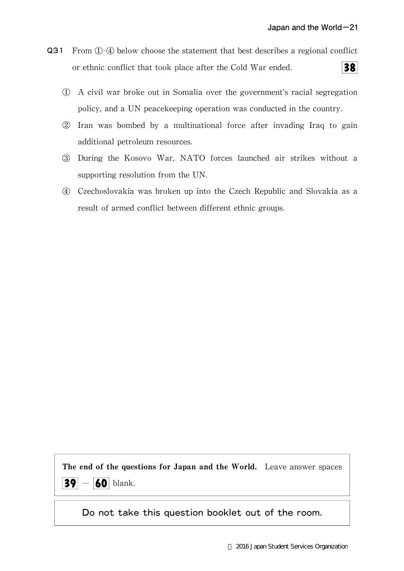- Q31 From ①-④ below choose the statement that best describes a regional conflict  $38<sup>2</sup>$ or ethnic conflict that took place after the Cold Warended.
	- ① A civil war broke out in Somalia over the government's racial segregation policy, and a UN peacekeeping operation was conducted in the country.
	- ② Iran was bombed by a multinational force after invading Iraq to gain additional petroleum resources.
	- ③ During the Kosovo War,NATO forces launched air strikes without a supporting resolution from the UN.
	- ④ Czechoslovakia was broken up into the Czech Republic and Slovakia as a result of armed conflict between different ethnic groups.

The end of the questions for Japan and the World. Leave answer spaces  $39 - 60$  blank.

Do not take this question booklet out of the room.